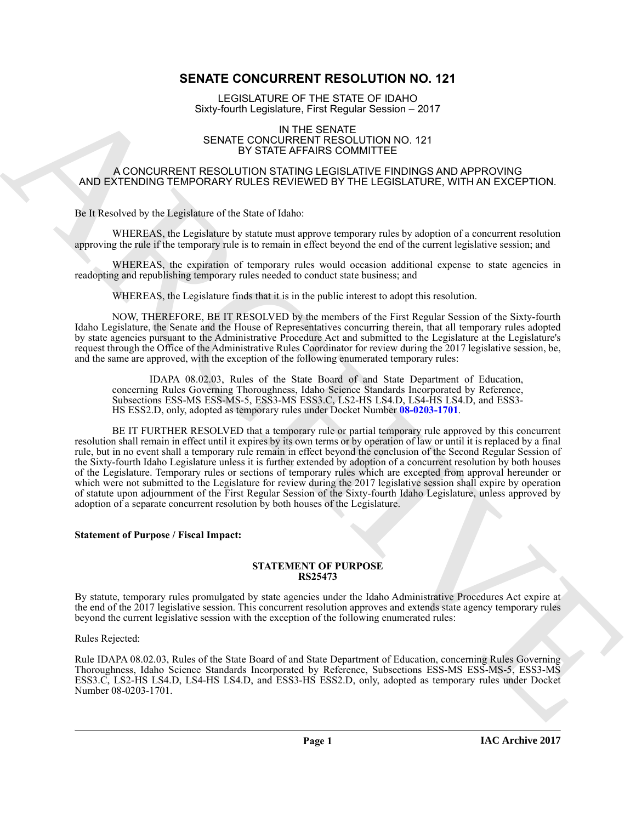# **SENATE CONCURRENT RESOLUTION NO. 121**

LEGISLATURE OF THE STATE OF IDAHO Sixty-fourth Legislature, First Regular Session – 2017

#### IN THE SENATE SENATE CONCURRENT RESOLUTION NO. 121 BY STATE AFFAIRS COMMITTEE

#### A CONCURRENT RESOLUTION STATING LEGISLATIVE FINDINGS AND APPROVING AND EXTENDING TEMPORARY RULES REVIEWED BY THE LEGISLATURE, WITH AN EXCEPTION.

Be It Resolved by the Legislature of the State of Idaho:

WHEREAS, the Legislature by statute must approve temporary rules by adoption of a concurrent resolution approving the rule if the temporary rule is to remain in effect beyond the end of the current legislative session; and

WHEREAS, the expiration of temporary rules would occasion additional expense to state agencies in readopting and republishing temporary rules needed to conduct state business; and

WHEREAS, the Legislature finds that it is in the public interest to adopt this resolution.

NOW, THEREFORE, BE IT RESOLVED by the members of the First Regular Session of the Sixty-fourth Idaho Legislature, the Senate and the House of Representatives concurring therein, that all temporary rules adopted by state agencies pursuant to the Administrative Procedure Act and submitted to the Legislature at the Legislature's request through the Office of the Administrative Rules Coordinator for review during the 2017 legislative session, be, and the same are approved, with the exception of the following enumerated temporary rules:

IDAPA 08.02.03, Rules of the State Board of and State Department of Education, concerning Rules Governing Thoroughness, Idaho Science Standards Incorporated by Reference, Subsections ESS-MS ESS-MS-5, ESS3-MS ESS3.C, LS2-HS LS4.D, LS4-HS LS4.D, and ESS3- HS ESS2.D, only, adopted as temporary rules under Docket Number **08-0203-1701**.

**EMPLEMENTE CONFIDENTIAL USE CONFIDENTIAL CONFIDENTIAL CONFIDENTIAL CONFIDENTIAL CONFIDENTIAL CONFIDENTIAL CONFIDENTIAL CONFIDENTIAL CONFIDENTIAL CONFIDENTIAL CONFIDENTIAL CONFIDENTIAL CONFIDENTIAL CONFIDENTIAL CONFIDENTI** BE IT FURTHER RESOLVED that a temporary rule or partial temporary rule approved by this concurrent resolution shall remain in effect until it expires by its own terms or by operation of law or until it is replaced by a final rule, but in no event shall a temporary rule remain in effect beyond the conclusion of the Second Regular Session of the Sixty-fourth Idaho Legislature unless it is further extended by adoption of a concurrent resolution by both houses of the Legislature. Temporary rules or sections of temporary rules which are excepted from approval hereunder or which were not submitted to the Legislature for review during the 2017 legislative session shall expire by operation of statute upon adjournment of the First Regular Session of the Sixty-fourth Idaho Legislature, unless approved by adoption of a separate concurrent resolution by both houses of the Legislature.

## **Statement of Purpose / Fiscal Impact:**

#### **STATEMENT OF PURPOSE RS25473**

By statute, temporary rules promulgated by state agencies under the Idaho Administrative Procedures Act expire at the end of the 2017 legislative session. This concurrent resolution approves and extends state agency temporary rules beyond the current legislative session with the exception of the following enumerated rules:

Rules Rejected:

Rule IDAPA 08.02.03, Rules of the State Board of and State Department of Education, concerning Rules Governing Thoroughness, Idaho Science Standards Incorporated by Reference, Subsections ESS-MS ESS-MS-5, ESS3-MS ESS3.C, LS2-HS LS4.D, LS4-HS LS4.D, and ESS3-HS ESS2.D, only, adopted as temporary rules under Docket Number 08-0203-1701.